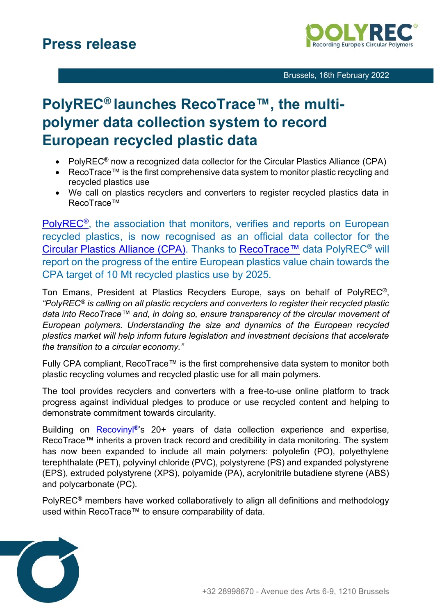

## **PolyREC® launches RecoTrace™, the multipolymer data collection system to record European recycled plastic data**

- PolyREC<sup>®</sup> now a recognized data collector for the Circular Plastics Alliance (CPA)
- RecoTrace™ is the first comprehensive data system to monitor plastic recycling and recycled plastics use
- We call on plastics recyclers and converters to register recycled plastics data in RecoTrace™

[PolyREC](https://www.polyrec.eu/)<sup>®</sup>, the association that monitors, verifies and reports on European recycled plastics, is now recognised as an official data collector for the [Circular Plastics Alliance \(CPA\).](https://ec.europa.eu/growth/industry/strategy/industrial-alliances/circular-plastics-alliance_fr) Thanks to [RecoTrace™](https://recotrace.com/auth/login) data PolyREC® will report on the progress of the entire European plastics value chain towards the CPA target of 10 Mt recycled plastics use by 2025.

Ton Emans, President at Plastics Recyclers Europe, says on behalf of PolyREC®, *"PolyREC® is calling on all plastic recyclers and converters to register their recycled plastic data into RecoTrace™ and, in doing so, ensure transparency of the circular movement of European polymers. Understanding the size and dynamics of the European recycled plastics market will help inform future legislation and investment decisions that accelerate the transition to a circular economy."*

Fully CPA compliant, RecoTrace™ is the first comprehensive data system to monitor both plastic recycling volumes and recycled plastic use for all main polymers.

The tool provides recyclers and converters with a free-to-use online platform to track progress against individual pledges to produce or use recycled content and helping to demonstrate commitment towards circularity.

Building on Recoviny<sup>®</sup>'s 20+ years of data collection experience and expertise, RecoTrace™ inherits a proven track record and credibility in data monitoring. The system has now been expanded to include all main polymers: polyolefin (PO), polyethylene terephthalate (PET), polyvinyl chloride (PVC), polystyrene (PS) and expanded polystyrene (EPS), extruded polystyrene (XPS), polyamide (PA), acrylonitrile butadiene styrene (ABS) and polycarbonate (PC).

PolyREC® members have worked collaboratively to align all definitions and methodology used within RecoTrace™ to ensure comparability of data.